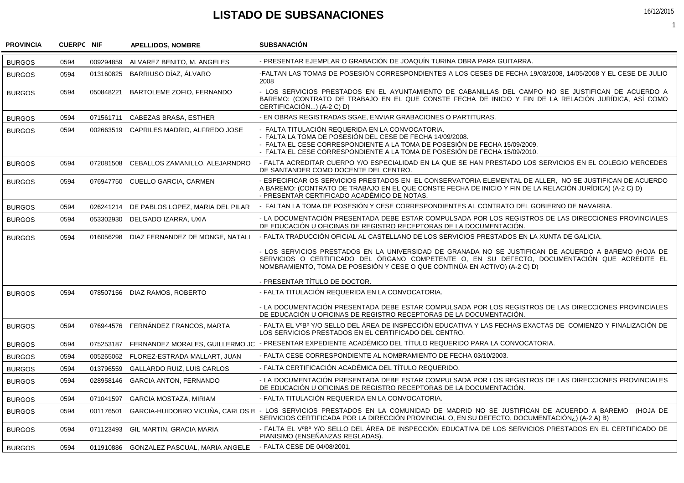## **LISTADO DE SUBSANACIONES**

| <b>PROVINCIA</b> | <b>CUERPC NIF</b> |           | <b>APELLIDOS, NOMBRE</b>                 | <b>SUBSANACIÓN</b>                                                                                                                                                                                                                                                                  |
|------------------|-------------------|-----------|------------------------------------------|-------------------------------------------------------------------------------------------------------------------------------------------------------------------------------------------------------------------------------------------------------------------------------------|
| <b>BURGOS</b>    | 0594              | 009294859 | ALVAREZ BENITO, M. ANGELES               | - PRESENTAR EJEMPLAR O GRABACIÓN DE JOAQUÍN TURINA OBRA PARA GUITARRA.                                                                                                                                                                                                              |
| <b>BURGOS</b>    | 0594              | 013160825 | BARRIUSO DÍAZ, ÁLVARO                    | -FALTAN LAS TOMAS DE POSESIÓN CORRESPONDIENTES A LOS CESES DE FECHA 19/03/2008, 14/05/2008 Y EL CESE DE JULIO<br>2008                                                                                                                                                               |
| <b>BURGOS</b>    | 0594              | 050848221 | BARTOLEME ZOFIO, FERNANDO                | - LOS SERVICIOS PRESTADOS EN EL AYUNTAMIENTO DE CABANILLAS DEL CAMPO NO SE JUSTIFICAN DE ACUERDO A<br>BAREMO: (CONTRATO DE TRABAJO EN EL QUE CONSTE FECHA DE INICIO Y FIN DE LA RELACIÓN JURÍDICA. ASÍ COMO<br>CERTIFICACIÓN) (A-2 C) D)                                            |
| <b>BURGOS</b>    | 0594              | 071561711 | CABEZAS BRASA, ESTHER                    | - EN OBRAS REGISTRADAS SGAE. ENVIAR GRABACIONES O PARTITURAS.                                                                                                                                                                                                                       |
| <b>BURGOS</b>    | 0594              | 002663519 | CAPRILES MADRID, ALFREDO JOSE            | - FALTA TITULACIÓN REQUERIDA EN LA CONVOCATORIA.<br>- FALTA LA TOMA DE POSESIÓN DEL CESE DE FECHA 14/09/2008.<br>- FALTA EL CESE CORRESPONDIENTE A LA TOMA DE POSESIÓN DE FECHA 15/09/2009.<br>- FALTA EL CESE CORRESPONDIENTE A LA TOMA DE POSESIÓN DE FECHA 15/09/2010.           |
| <b>BURGOS</b>    | 0594              | 072081508 | CEBALLOS ZAMANILLO, ALEJARNDRO           | - FALTA ACREDITAR CUERPO Y/O ESPECIALIDAD EN LA QUE SE HAN PRESTADO LOS SERVICIOS EN EL COLEGIO MERCEDES<br>DE SANTANDER COMO DOCENTE DEL CENTRO.                                                                                                                                   |
| <b>BURGOS</b>    | 0594              |           | 076947750 CUELLO GARCIA, CARMEN          | - ESPECIFICAR OS SERVICIOS PRESTADOS EN EL CONSERVATORIA ELEMENTAL DE ALLER, NO SE JUSTIFICAN DE ACUERDO<br>A BAREMO: (CONTRATO DE TRABAJO EN EL QUE CONSTE FECHA DE INICIO Y FIN DE LA RELACIÓN JURÍDICA) (A-2 C) D)<br>- PRESENTAR CERTIFICADO ACADÉMICO DE NOTAS.                |
| <b>BURGOS</b>    | 0594              | 026241214 | DE PABLOS LOPEZ. MARIA DEL PILAR         | - FALTAN LA TOMA DE POSESIÓN Y CESE CORRESPONDIENTES AL CONTRATO DEL GOBIERNO DE NAVARRA.                                                                                                                                                                                           |
| <b>BURGOS</b>    | 0594              | 053302930 | DELGADO IZARRA, UXIA                     | - LA DOCUMENTACIÓN PRESENTADA DEBE ESTAR COMPULSADA POR LOS REGISTROS DE LAS DIRECCIONES PROVINCIALES<br>DE EDUCACIÓN U OFICINAS DE REGISTRO RECEPTORAS DE LA DOCUMENTACIÓN.                                                                                                        |
| <b>BURGOS</b>    | 0594              | 016056298 | DIAZ FERNANDEZ DE MONGE, NATALI          | - FALTA TRADUCCIÓN OFICIAL AL CASTELLANO DE LOS SERVICIOS PRESTADOS EN LA XUNTA DE GALICIA.                                                                                                                                                                                         |
|                  |                   |           |                                          | - LOS SERVICIOS PRESTADOS EN LA UNIVERSIDAD DE GRANADA NO SE JUSTIFICAN DE ACUERDO A BAREMO (HOJA DE<br>SERVICIOS O CERTIFICADO DEL ÓRGANO COMPETENTE O, EN SU DEFECTO, DOCUMENTACIÓN QUE ACREDITE EL<br>NOMBRAMIENTO, TOMA DE POSESIÓN Y CESE O QUE CONTINÚA EN ACTIVO) (A-2 C) D) |
|                  |                   |           |                                          | - PRESENTAR TÍTULO DE DOCTOR.                                                                                                                                                                                                                                                       |
| <b>BURGOS</b>    | 0594              |           | 078507156 DIAZ RAMOS, ROBERTO            | - FALTA TITULACIÓN REQUERIDA EN LA CONVOCATORIA.                                                                                                                                                                                                                                    |
|                  |                   |           |                                          | - LA DOCUMENTACIÓN PRESENTADA DEBE ESTAR COMPULSADA POR LOS REGISTROS DE LAS DIRECCIONES PROVINCIALES<br>DE EDUCACIÓN U OFICINAS DE REGISTRO RECEPTORAS DE LA DOCUMENTACIÓN.                                                                                                        |
| <b>BURGOS</b>    | 0594              |           | 076944576 FERNÁNDEZ FRANCOS, MARTA       | - FALTA EL VºBº Y/O SELLO DEL ÁREA DE INSPECCIÓN EDUCATIVA Y LAS FECHAS EXACTAS DE COMIENZO Y FINALIZACIÓN DE<br>LOS SERVICIOS PRESTADOS EN EL CERTIFICADO DEL CENTRO.                                                                                                              |
| <b>BURGOS</b>    | 0594              | 075253187 |                                          | FERNANDEZ MORALES, GUILLERMO JC - PRESENTAR EXPEDIENTE ACADÉMICO DEL TÍTULO REQUERIDO PARA LA CONVOCATORIA.                                                                                                                                                                         |
| <b>BURGOS</b>    | 0594              | 005265062 | FLOREZ-ESTRADA MALLART, JUAN             | - FALTA CESE CORRESPONDIENTE AL NOMBRAMIENTO DE FECHA 03/10/2003.                                                                                                                                                                                                                   |
| <b>BURGOS</b>    | 0594              | 013796559 | <b>GALLARDO RUIZ, LUIS CARLOS</b>        | - FALTA CERTIFICACIÓN ACADÉMICA DEL TÍTULO REQUERIDO.                                                                                                                                                                                                                               |
| <b>BURGOS</b>    | 0594              | 028958146 | <b>GARCIA ANTON, FERNANDO</b>            | - LA DOCUMENTACIÓN PRESENTADA DEBE ESTAR COMPULSADA POR LOS REGISTROS DE LAS DIRECCIONES PROVINCIALES<br>DE EDUCACIÓN U OFICINAS DE REGISTRO RECEPTORAS DE LA DOCUMENTACIÓN.                                                                                                        |
| <b>BURGOS</b>    | 0594              | 071041597 | GARCIA MOSTAZA, MIRIAM                   | - FALTA TITULACIÓN REQUERIDA EN LA CONVOCATORIA.                                                                                                                                                                                                                                    |
| <b>BURGOS</b>    | 0594              | 001176501 |                                          | GARCIA-HUIDOBRO VICUÑA, CARLOS E - LOS SERVICIOS PRESTADOS EN LA COMUNIDAD DE MADRID NO SE JUSTIFICAN DE ACUERDO A BAREMO<br>(HOJA DE<br>SERVICIOS CERTIFICADA POR LA DIRECCIÓN PROVINCIAL O, EN SU DEFECTO, DOCUMENTACIÓN;) (A-2 A) B)                                             |
| <b>BURGOS</b>    | 0594              |           | 071123493 GIL MARTIN, GRACIA MARIA       | - FALTA EL VºBº Y/O SELLO DEL ÁREA DE INSPECCIÓN EDUCATIVA DE LOS SERVICIOS PRESTADOS EN EL CERTIFICADO DE<br>PIANISIMO (ENSEÑANZAS REGLADAS).                                                                                                                                      |
| <b>BURGOS</b>    | 0594              |           | 011910886 GONZALEZ PASCUAL, MARIA ANGELE | - FALTA CESE DE 04/08/2001.                                                                                                                                                                                                                                                         |

16/12/2015

1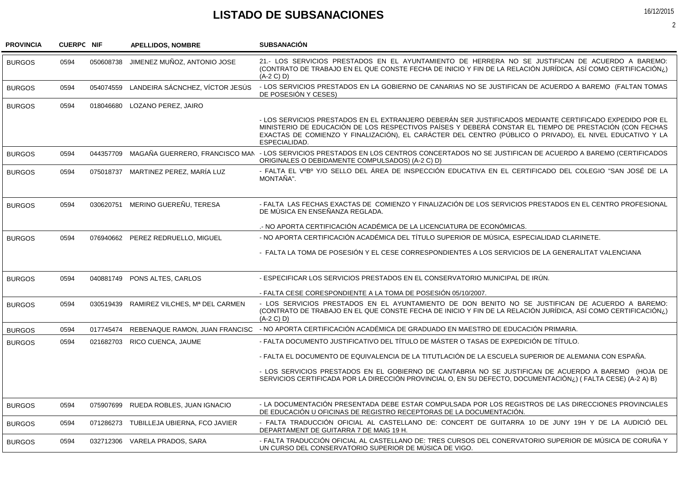## **LISTADO DE SUBSANACIONES**

| <b>PROVINCIA</b> | <b>CUERPC NIF</b> |           | <b>APELLIDOS, NOMBRE</b>             | <b>SUBSANACIÓN</b>                                                                                                                                                                                                                                                                                                                              |
|------------------|-------------------|-----------|--------------------------------------|-------------------------------------------------------------------------------------------------------------------------------------------------------------------------------------------------------------------------------------------------------------------------------------------------------------------------------------------------|
| <b>BURGOS</b>    | 0594              | 050608738 | JIMENEZ MUÑOZ. ANTONIO JOSE          | 21.- LOS SERVICIOS PRESTADOS EN EL AYUNTAMIENTO DE HERRERA NO SE JUSTIFICAN DE ACUERDO A BAREMO:<br>(CONTRATO DE TRABAJO EN EL QUE CONSTE FECHA DE INICIO Y FIN DE LA RELACIÓN JURÍDICA. ASÍ COMO CERTIFICACIÓN;)<br>$(A-2 C) D$                                                                                                                |
| <b>BURGOS</b>    | 0594              | 054074559 | LANDEIRA SÁCNCHEZ, VÍCTOR JESÚS      | - LOS SERVICIOS PRESTADOS EN LA GOBIERNO DE CANARIAS NO SE JUSTIFICAN DE ACUERDO A BAREMO (FALTAN TOMAS<br>DE POSESIÓN Y CESES)                                                                                                                                                                                                                 |
| <b>BURGOS</b>    | 0594              |           | 018046680 LOZANO PEREZ, JAIRO        |                                                                                                                                                                                                                                                                                                                                                 |
|                  |                   |           |                                      | - LOS SERVICIOS PRESTADOS EN EL EXTRANJERO DEBERÁN SER JUSTIFICADOS MEDIANTE CERTIFICADO EXPEDIDO POR EL<br>MINISTERIO DE EDUCACIÓN DE LOS RESPECTIVOS PAÍSES Y DEBERÁ CONSTAR EL TIEMPO DE PRESTACIÓN (CON FECHAS<br>EXACTAS DE COMIENZO Y FINALIZACIÓN), EL CARÁCTER DEL CENTRO (PÚBLICO O PRIVADO), EL NIVEL EDUCATIVO Y LA<br>ESPECIALIDAD. |
| <b>BURGOS</b>    | 0594              | 044357709 |                                      | MAGAÑA GUERRERO, FRANCISCO MAN - LOS SERVICIOS PRESTADOS EN LOS CENTROS CONCERTADOS NO SE JUSTIFICAN DE ACUERDO A BAREMO (CERTIFICADOS<br>ORIGINALES O DEBIDAMENTE COMPULSADOS) (A-2 C) D)                                                                                                                                                      |
| <b>BURGOS</b>    | 0594              |           | 075018737 MARTINEZ PEREZ. MARÍA LUZ  | - FALTA EL VºBº Y/O SELLO DEL ÁREA DE INSPECCIÓN EDUCATIVA EN EL CERTIFICADO DEL COLEGIO "SAN JOSÉ DE LA<br>MONTAÑA".                                                                                                                                                                                                                           |
| <b>BURGOS</b>    | 0594              |           | 030620751 MERINO GUEREÑU, TERESA     | - FALTA LAS FECHAS EXACTAS DE COMIENZO Y FINALIZACIÓN DE LOS SERVICIOS PRESTADOS EN EL CENTRO PROFESIONAL<br>DE MÚSICA EN ENSEÑANZA REGLADA.                                                                                                                                                                                                    |
|                  |                   |           |                                      | .- NO APORTA CERTIFICACIÓN ACADÉMICA DE LA LICENCIATURA DE ECONÓMICAS.                                                                                                                                                                                                                                                                          |
| <b>BURGOS</b>    | 0594              |           | 076940662 PEREZ REDRUELLO, MIGUEL    | - NO APORTA CERTIFICACIÓN ACADÉMICA DEL TÍTULO SUPERIOR DE MÚSICA, ESPECIALIDAD CLARINETE.                                                                                                                                                                                                                                                      |
|                  |                   |           |                                      | - FALTA LA TOMA DE POSESIÓN Y EL CESE CORRESPONDIENTES A LOS SERVICIOS DE LA GENERALITAT VALENCIANA                                                                                                                                                                                                                                             |
| <b>BURGOS</b>    | 0594              |           | 040881749 PONS ALTES, CARLOS         | - ESPECIFICAR LOS SERVICIOS PRESTADOS EN EL CONSERVATORIO MUNICIPAL DE IRÚN.                                                                                                                                                                                                                                                                    |
|                  |                   |           |                                      | - FALTA CESE CORESPONDIENTE A LA TOMA DE POSESIÓN 05/10/2007.                                                                                                                                                                                                                                                                                   |
| <b>BURGOS</b>    | 0594              | 030519439 | RAMIREZ VILCHES, Mª DEL CARMEN       | - LOS SERVICIOS PRESTADOS EN EL AYUNTAMIENTO DE DON BENITO NO SE JUSTIFICAN DE ACUERDO A BAREMO:<br>(CONTRATO DE TRABAJO EN EL QUE CONSTE FECHA DE INICIO Y FIN DE LA RELACIÓN JURÍDICA, ASÍ COMO CERTIFICACIÓN¿)<br>$(A-2 C) D$                                                                                                                |
| <b>BURGOS</b>    | 0594              | 017745474 | REBENAQUE RAMON, JUAN FRANCISC       | - NO APORTA CERTIFICACIÓN ACADÉMICA DE GRADUADO EN MAESTRO DE EDUCACIÓN PRIMARIA.                                                                                                                                                                                                                                                               |
| <b>BURGOS</b>    | 0594              | 021682703 | RICO CUENCA, JAUME                   | - FALTA DOCUMENTO JUSTIFICATIVO DEL TÍTULO DE MÁSTER O TASAS DE EXPEDICIÓN DE TÍTULO.                                                                                                                                                                                                                                                           |
|                  |                   |           |                                      | - FALTA EL DOCUMENTO DE EQUIVALENCIA DE LA TITUTLACIÓN DE LA ESCUELA SUPERIOR DE ALEMANIA CON ESPAÑA.                                                                                                                                                                                                                                           |
|                  |                   |           |                                      | - LOS SERVICIOS PRESTADOS EN EL GOBIERNO DE CANTABRIA NO SE JUSTIFICAN DE ACUERDO A BAREMO (HOJA DE<br>SERVICIOS CERTIFICADA POR LA DIRECCIÓN PROVINCIAL O, EN SU DEFECTO, DOCUMENTACIÓN¿) (FALTA CESE) (A-2 A) B)                                                                                                                              |
| <b>BURGOS</b>    | 0594              |           | 075907699 RUEDA ROBLES, JUAN IGNACIO | - LA DOCUMENTACIÓN PRESENTADA DEBE ESTAR COMPULSADA POR LOS REGISTROS DE LAS DIRECCIONES PROVINCIALES<br>DE EDUCACIÓN U OFICINAS DE REGISTRO RECEPTORAS DE LA DOCUMENTACIÓN.                                                                                                                                                                    |
| <b>BURGOS</b>    | 0594              | 071286273 | TUBILLEJA UBIERNA, FCO JAVIER        | - FALTA TRADUCCIÓN OFICIAL AL CASTELLANO DE: CONCERT DE GUITARRA 10 DE JUNY 19H Y DE LA AUDICIÓ DEL<br>DEPARTAMENT DE GUITARRA 7 DE MAIG 19 H.                                                                                                                                                                                                  |
| <b>BURGOS</b>    | 0594              |           | 032712306 VARELA PRADOS, SARA        | - FALTA TRADUCCIÓN OFICIAL AL CASTELLANO DE: TRES CURSOS DEL CONERVATORIO SUPERIOR DE MÚSICA DE CORUÑA Y<br>UN CURSO DEL CONSERVATORIO SUPERIOR DE MÚSICA DE VIGO.                                                                                                                                                                              |

2